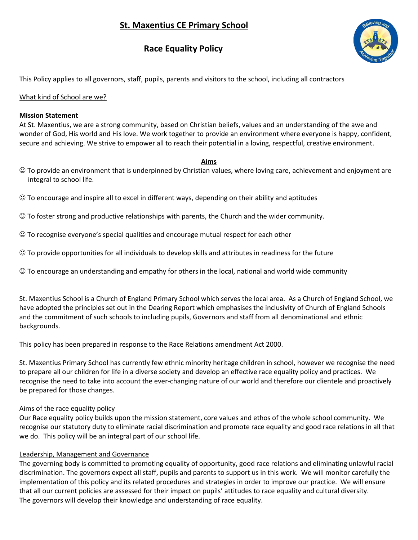# **St. Maxentius CE Primary School**

# **Race Equality Policy**



This Policy applies to all governors, staff, pupils, parents and visitors to the school, including all contractors

### What kind of School are we?

#### **Mission Statement**

At St. Maxentius, we are a strong community, based on Christian beliefs, values and an understanding of the awe and wonder of God, His world and His love. We work together to provide an environment where everyone is happy, confident, secure and achieving. We strive to empower all to reach their potential in a loving, respectful, creative environment.

#### **Aims**

- To provide an environment that is underpinned by Christian values, where loving care, achievement and enjoyment are integral to school life.
- $\odot$  To encourage and inspire all to excel in different ways, depending on their ability and aptitudes

 $\odot$  To foster strong and productive relationships with parents, the Church and the wider community.

- $\odot$  To recognise everyone's special qualities and encourage mutual respect for each other
- To provide opportunities for all individuals to develop skills and attributes in readiness for the future
- $\odot$  To encourage an understanding and empathy for others in the local, national and world wide community

St. Maxentius School is a Church of England Primary School which serves the local area. As a Church of England School, we have adopted the principles set out in the Dearing Report which emphasises the inclusivity of Church of England Schools and the commitment of such schools to including pupils, Governors and staff from all denominational and ethnic backgrounds.

This policy has been prepared in response to the Race Relations amendment Act 2000.

St. Maxentius Primary School has currently few ethnic minority heritage children in school, however we recognise the need to prepare all our children for life in a diverse society and develop an effective race equality policy and practices. We recognise the need to take into account the ever-changing nature of our world and therefore our clientele and proactively be prepared for those changes.

### Aims of the race equality policy

Our Race equality policy builds upon the mission statement, core values and ethos of the whole school community. We recognise our statutory duty to eliminate racial discrimination and promote race equality and good race relations in all that we do. This policy will be an integral part of our school life.

### Leadership, Management and Governance

The governing body is committed to promoting equality of opportunity, good race relations and eliminating unlawful racial discrimination. The governors expect all staff, pupils and parents to support us in this work. We will monitor carefully the implementation of this policy and its related procedures and strategies in order to improve our practice. We will ensure that all our current policies are assessed for their impact on pupils' attitudes to race equality and cultural diversity. The governors will develop their knowledge and understanding of race equality.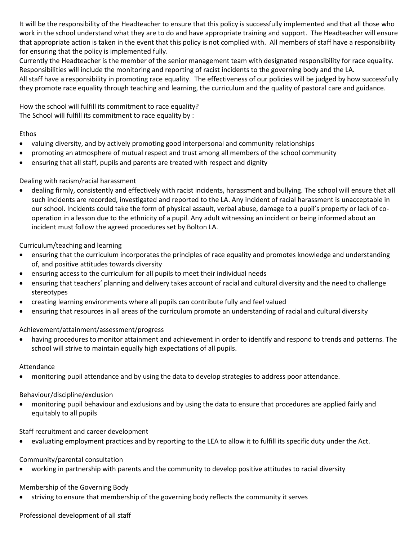It will be the responsibility of the Headteacher to ensure that this policy is successfully implemented and that all those who work in the school understand what they are to do and have appropriate training and support. The Headteacher will ensure that appropriate action is taken in the event that this policy is not complied with. All members of staff have a responsibility for ensuring that the policy is implemented fully.

Currently the Headteacher is the member of the senior management team with designated responsibility for race equality. Responsibilities will include the monitoring and reporting of racist incidents to the governing body and the LA.

All staff have a responsibility in promoting race equality. The effectiveness of our policies will be judged by how successfully they promote race equality through teaching and learning, the curriculum and the quality of pastoral care and guidance.

# How the school will fulfill its commitment to race equality?

The School will fulfill its commitment to race equality by :

## Ethos

- valuing diversity, and by actively promoting good interpersonal and community relationships
- promoting an atmosphere of mutual respect and trust among all members of the school community
- ensuring that all staff, pupils and parents are treated with respect and dignity

## Dealing with racism/racial harassment

 dealing firmly, consistently and effectively with racist incidents, harassment and bullying. The school will ensure that all such incidents are recorded, investigated and reported to the LA. Any incident of racial harassment is unacceptable in our school. Incidents could take the form of physical assault, verbal abuse, damage to a pupil's property or lack of cooperation in a lesson due to the ethnicity of a pupil. Any adult witnessing an incident or being informed about an incident must follow the agreed procedures set by Bolton LA.

## Curriculum/teaching and learning

- ensuring that the curriculum incorporates the principles of race equality and promotes knowledge and understanding of, and positive attitudes towards diversity
- ensuring access to the curriculum for all pupils to meet their individual needs
- ensuring that teachers' planning and delivery takes account of racial and cultural diversity and the need to challenge stereotypes
- creating learning environments where all pupils can contribute fully and feel valued
- ensuring that resources in all areas of the curriculum promote an understanding of racial and cultural diversity

# Achievement/attainment/assessment/progress

 having procedures to monitor attainment and achievement in order to identify and respond to trends and patterns. The school will strive to maintain equally high expectations of all pupils.

### Attendance

monitoring pupil attendance and by using the data to develop strategies to address poor attendance.

### Behaviour/discipline/exclusion

 monitoring pupil behaviour and exclusions and by using the data to ensure that procedures are applied fairly and equitably to all pupils

### Staff recruitment and career development

evaluating employment practices and by reporting to the LEA to allow it to fulfill its specific duty under the Act.

# Community/parental consultation

working in partnership with parents and the community to develop positive attitudes to racial diversity

# Membership of the Governing Body

striving to ensure that membership of the governing body reflects the community it serves

# Professional development of all staff